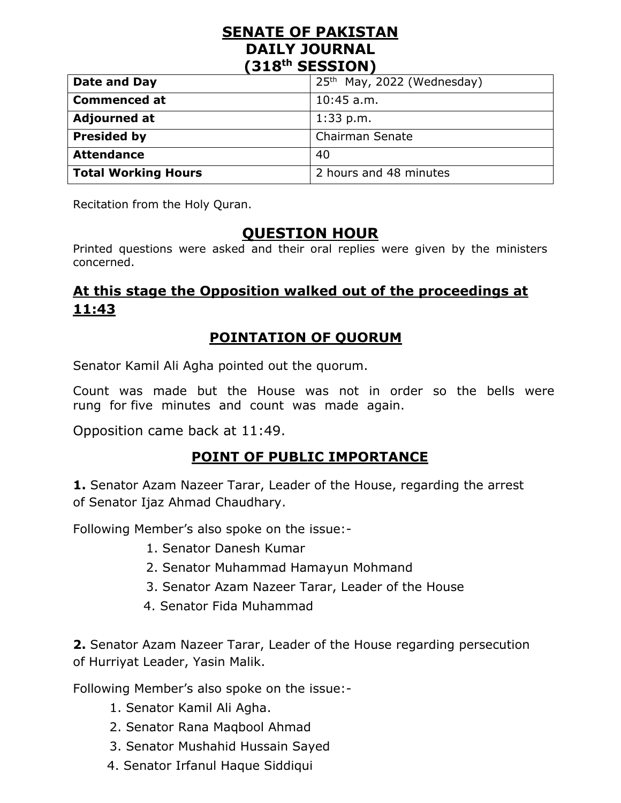### **SENATE OF PAKISTAN DAILY JOURNAL (318th SESSION)**

| Date and Day               | 25 <sup>th</sup> May, 2022 (Wednesday) |
|----------------------------|----------------------------------------|
| <b>Commenced at</b>        | $10:45$ a.m.                           |
| <b>Adjourned at</b>        | $1:33$ p.m.                            |
| <b>Presided by</b>         | <b>Chairman Senate</b>                 |
| <b>Attendance</b>          | 40                                     |
| <b>Total Working Hours</b> | 2 hours and 48 minutes                 |

Recitation from the Holy Quran.

## **QUESTION HOUR**

Printed questions were asked and their oral replies were given by the ministers concerned.

# **At this stage the Opposition walked out of the proceedings at 11:43**

### **POINTATION OF QUORUM**

Senator Kamil Ali Agha pointed out the quorum.

Count was made but the House was not in order so the bells were rung for five minutes and count was made again.

Opposition came back at 11:49.

## **POINT OF PUBLIC IMPORTANCE**

**1.** Senator Azam Nazeer Tarar, Leader of the House, regarding the arrest of Senator Ijaz Ahmad Chaudhary.

Following Member's also spoke on the issue:-

- 1. Senator Danesh Kumar
- 2. Senator Muhammad Hamayun Mohmand
- 3. Senator Azam Nazeer Tarar, Leader of the House
- 4. Senator Fida Muhammad

**2.** Senator Azam Nazeer Tarar, Leader of the House regarding persecution of Hurriyat Leader, Yasin Malik.

Following Member's also spoke on the issue:-

- 1. Senator Kamil Ali Agha.
- 2. Senator Rana Maqbool Ahmad
- 3. Senator Mushahid Hussain Sayed
- 4. Senator Irfanul Haque Siddiqui